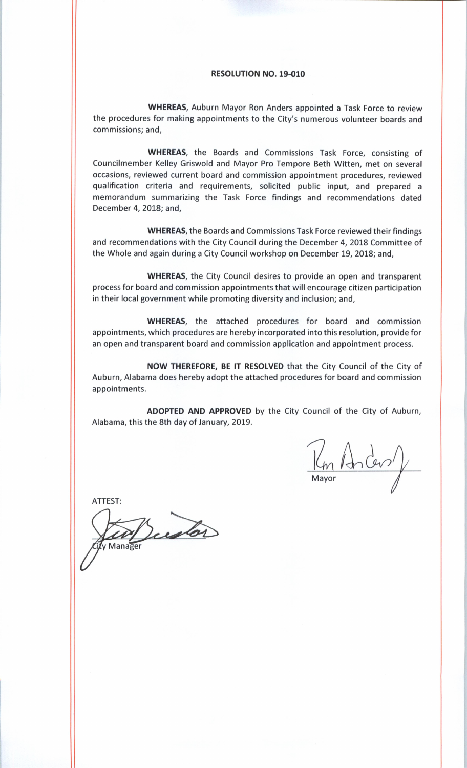## RESOLUTION NO. 19-010

WHEREAS, Auburn Mayor Ron Anders appointed <sup>a</sup> Task Force to review the procedures for making appointments to the City's numerous volunteer boards and commissions; and,

WHEREAS, the Boards and Commissions Task Force, consisting of Councilmember Kelley Griswold and Mayor Pro Tempore Beth Witten, met on several occasions, reviewed current board and commission appointment procedures, reviewed qualification criteria and requirements, solicited public input, and prepared <sup>a</sup> memorandum summarizing the Task Force findings and recommendations dated December 4, 2018; and,

WHEREAS, the Boards and Commissions Task Force reviewed their findings and recommendations with the City Council during the December 4, 2018 Committee of the Whole and again during <sup>a</sup> City Council workshop on December 19, 2018; and,

WHEREAS, the City Council desires to provide an open and transparent process for board and commission appointments that will encourage citizen participation in their local government while promoting diversity and inclusion; and,

WHEREAS, the attached procedures for board and commission appointments, which procedures are hereby incorporated into this resolution, provide for an open and transparent board and commission application and appointment process.

NOW THEREFORE, BE IT RESOLVED that the City Council of the City of Auburn, Alabama does hereby adopt the attached procedures for board and commission appointments.

ADOPTED AND APPROVED by the City Council of the City of Auburn, Alabama, this the 8th day of January, 2019.

 $\frac{1}{\mu}$ 

ATTEST:

Dustor Manager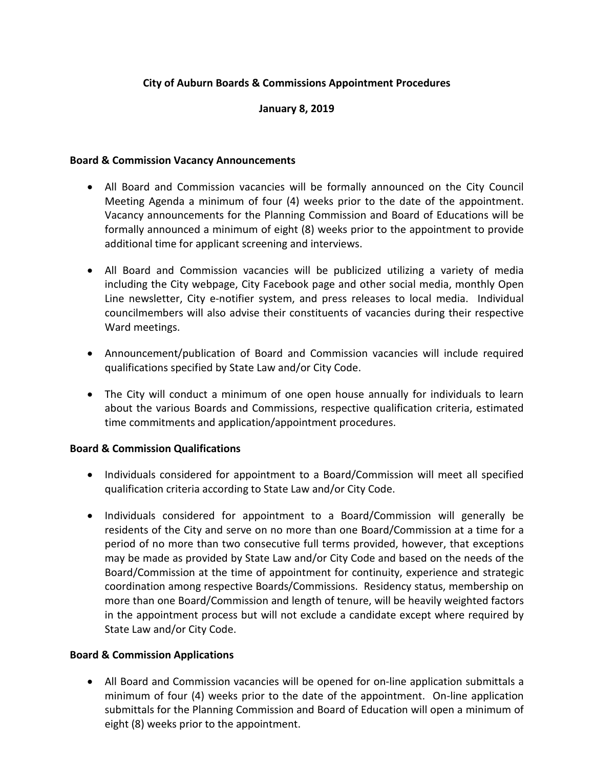# **City of Auburn Boards & Commissions Appointment Procedures**

# **January 8, 2019**

## **Board & Commission Vacancy Announcements**

- All Board and Commission vacancies will be formally announced on the City Council Meeting Agenda a minimum of four (4) weeks prior to the date of the appointment. Vacancy announcements for the Planning Commission and Board of Educations will be formally announced a minimum of eight (8) weeks prior to the appointment to provide additional time for applicant screening and interviews.
- All Board and Commission vacancies will be publicized utilizing a variety of media including the City webpage, City Facebook page and other social media, monthly Open Line newsletter, City e-notifier system, and press releases to local media. Individual councilmembers will also advise their constituents of vacancies during their respective Ward meetings.
- Announcement/publication of Board and Commission vacancies will include required qualifications specified by State Law and/or City Code.
- The City will conduct a minimum of one open house annually for individuals to learn about the various Boards and Commissions, respective qualification criteria, estimated time commitments and application/appointment procedures.

## **Board & Commission Qualifications**

- Individuals considered for appointment to a Board/Commission will meet all specified qualification criteria according to State Law and/or City Code.
- Individuals considered for appointment to a Board/Commission will generally be residents of the City and serve on no more than one Board/Commission at a time for a period of no more than two consecutive full terms provided, however, that exceptions may be made as provided by State Law and/or City Code and based on the needs of the Board/Commission at the time of appointment for continuity, experience and strategic coordination among respective Boards/Commissions. Residency status, membership on more than one Board/Commission and length of tenure, will be heavily weighted factors in the appointment process but will not exclude a candidate except where required by State Law and/or City Code.

## **Board & Commission Applications**

• All Board and Commission vacancies will be opened for on-line application submittals a minimum of four (4) weeks prior to the date of the appointment. On-line application submittals for the Planning Commission and Board of Education will open a minimum of eight (8) weeks prior to the appointment.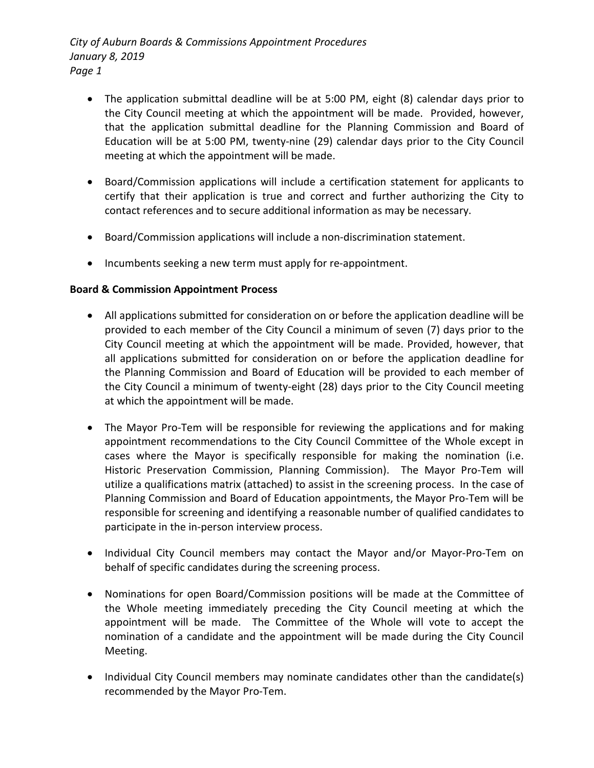- The application submittal deadline will be at 5:00 PM, eight (8) calendar days prior to the City Council meeting at which the appointment will be made. Provided, however, that the application submittal deadline for the Planning Commission and Board of Education will be at 5:00 PM, twenty-nine (29) calendar days prior to the City Council meeting at which the appointment will be made.
- Board/Commission applications will include a certification statement for applicants to certify that their application is true and correct and further authorizing the City to contact references and to secure additional information as may be necessary.
- Board/Commission applications will include a non-discrimination statement.
- Incumbents seeking a new term must apply for re-appointment.

# **Board & Commission Appointment Process**

- All applications submitted for consideration on or before the application deadline will be provided to each member of the City Council a minimum of seven (7) days prior to the City Council meeting at which the appointment will be made. Provided, however, that all applications submitted for consideration on or before the application deadline for the Planning Commission and Board of Education will be provided to each member of the City Council a minimum of twenty-eight (28) days prior to the City Council meeting at which the appointment will be made.
- The Mayor Pro-Tem will be responsible for reviewing the applications and for making appointment recommendations to the City Council Committee of the Whole except in cases where the Mayor is specifically responsible for making the nomination (i.e. Historic Preservation Commission, Planning Commission). The Mayor Pro-Tem will utilize a qualifications matrix (attached) to assist in the screening process. In the case of Planning Commission and Board of Education appointments, the Mayor Pro-Tem will be responsible for screening and identifying a reasonable number of qualified candidates to participate in the in-person interview process.
- Individual City Council members may contact the Mayor and/or Mayor-Pro-Tem on behalf of specific candidates during the screening process.
- Nominations for open Board/Commission positions will be made at the Committee of the Whole meeting immediately preceding the City Council meeting at which the appointment will be made. The Committee of the Whole will vote to accept the nomination of a candidate and the appointment will be made during the City Council Meeting.
- Individual City Council members may nominate candidates other than the candidate(s) recommended by the Mayor Pro-Tem.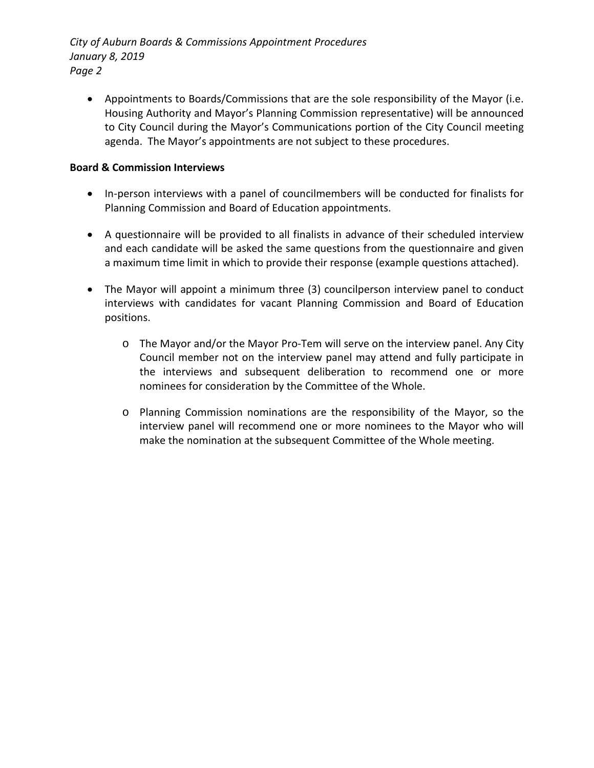*City of Auburn Boards & Commissions Appointment Procedures January 8, 2019 Page 2*

• Appointments to Boards/Commissions that are the sole responsibility of the Mayor (i.e. Housing Authority and Mayor's Planning Commission representative) will be announced to City Council during the Mayor's Communications portion of the City Council meeting agenda. The Mayor's appointments are not subject to these procedures.

# **Board & Commission Interviews**

- In-person interviews with a panel of councilmembers will be conducted for finalists for Planning Commission and Board of Education appointments.
- A questionnaire will be provided to all finalists in advance of their scheduled interview and each candidate will be asked the same questions from the questionnaire and given a maximum time limit in which to provide their response (example questions attached).
- The Mayor will appoint a minimum three (3) councilperson interview panel to conduct interviews with candidates for vacant Planning Commission and Board of Education positions.
	- o The Mayor and/or the Mayor Pro-Tem will serve on the interview panel. Any City Council member not on the interview panel may attend and fully participate in the interviews and subsequent deliberation to recommend one or more nominees for consideration by the Committee of the Whole.
	- o Planning Commission nominations are the responsibility of the Mayor, so the interview panel will recommend one or more nominees to the Mayor who will make the nomination at the subsequent Committee of the Whole meeting.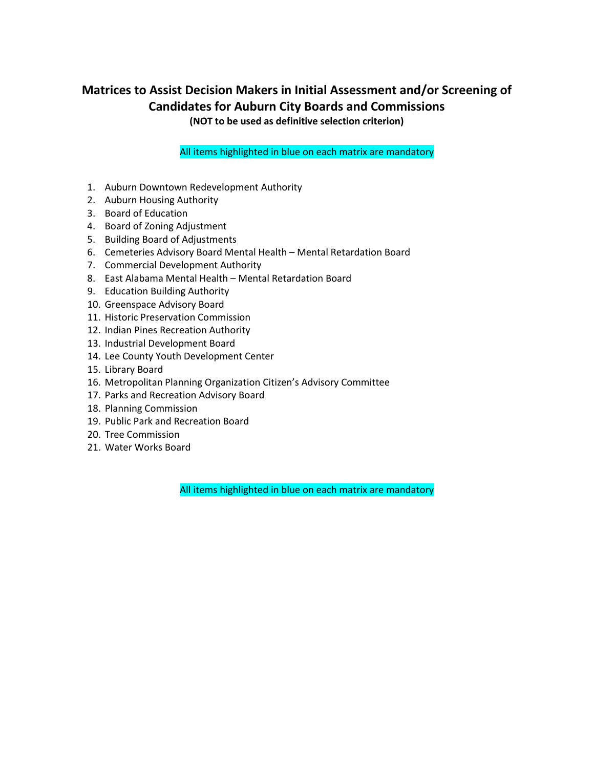# **Matrices to Assist Decision Makers in Initial Assessment and/or Screening of Candidates for Auburn City Boards and Commissions**

**(NOT to be used as definitive selection criterion)**

All items highlighted in blue on each matrix are mandatory

- 1. Auburn Downtown Redevelopment Authority
- 2. Auburn Housing Authority
- 3. Board of Education
- 4. Board of Zoning Adjustment
- 5. Building Board of Adjustments
- 6. Cemeteries Advisory Board Mental Health Mental Retardation Board
- 7. Commercial Development Authority
- 8. East Alabama Mental Health Mental Retardation Board
- 9. Education Building Authority
- 10. Greenspace Advisory Board
- 11. Historic Preservation Commission
- 12. Indian Pines Recreation Authority
- 13. Industrial Development Board
- 14. Lee County Youth Development Center
- 15. Library Board
- 16. Metropolitan Planning Organization Citizen's Advisory Committee
- 17. Parks and Recreation Advisory Board
- 18. Planning Commission
- 19. Public Park and Recreation Board
- 20. Tree Commission
- 21. Water Works Board

All items highlighted in blue on each matrix are mandatory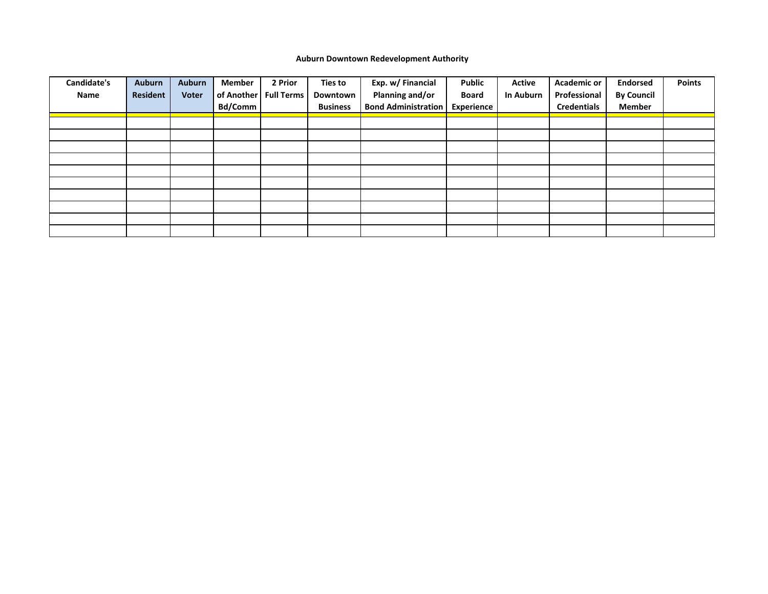## **Auburn Downtown Redevelopment Authority**

| Candidate's | <b>Auburn</b>   | <b>Auburn</b> | <b>Member</b> | 2 Prior           | Ties to         | Exp. w/ Financial          | <b>Public</b> | <b>Active</b>    | <b>Academic or</b> | <b>Endorsed</b>   | <b>Points</b> |
|-------------|-----------------|---------------|---------------|-------------------|-----------------|----------------------------|---------------|------------------|--------------------|-------------------|---------------|
| Name        | <b>Resident</b> | <b>Voter</b>  | of Another    | <b>Full Terms</b> | Downtown        | Planning and/or            | <b>Board</b>  | <b>In Auburn</b> | Professional       | <b>By Council</b> |               |
|             |                 |               | Bd/Comm       |                   | <b>Business</b> | <b>Bond Administration</b> | Experience    |                  | <b>Credentials</b> | <b>Member</b>     |               |
|             |                 |               |               |                   |                 |                            |               |                  |                    |                   |               |
|             |                 |               |               |                   |                 |                            |               |                  |                    |                   |               |
|             |                 |               |               |                   |                 |                            |               |                  |                    |                   |               |
|             |                 |               |               |                   |                 |                            |               |                  |                    |                   |               |
|             |                 |               |               |                   |                 |                            |               |                  |                    |                   |               |
|             |                 |               |               |                   |                 |                            |               |                  |                    |                   |               |
|             |                 |               |               |                   |                 |                            |               |                  |                    |                   |               |
|             |                 |               |               |                   |                 |                            |               |                  |                    |                   |               |
|             |                 |               |               |                   |                 |                            |               |                  |                    |                   |               |
|             |                 |               |               |                   |                 |                            |               |                  |                    |                   |               |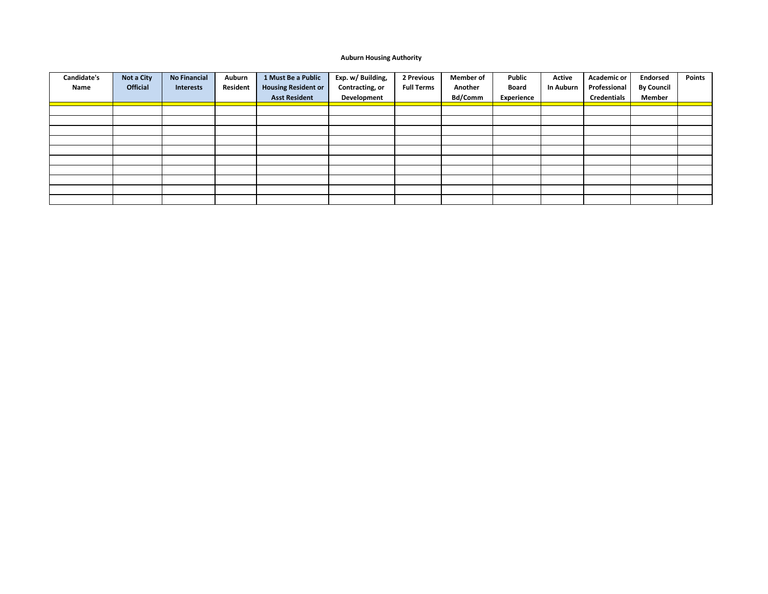#### **Auburn Housing Authority**

| Candidate's | Not a City      | <b>No Financial</b> | Auburn   | 1 Must Be a Public         | Exp. w/ Building, | 2 Previous        | <b>Member of</b> | Public       | Active           | <b>Academic or</b> | <b>Endorsed</b>   | <b>Points</b> |
|-------------|-----------------|---------------------|----------|----------------------------|-------------------|-------------------|------------------|--------------|------------------|--------------------|-------------------|---------------|
| Name        | <b>Official</b> | Interests           | Resident | <b>Housing Resident or</b> | Contracting, or   | <b>Full Terms</b> | Another          | <b>Board</b> | <b>In Auburn</b> | Professional       | <b>By Council</b> |               |
|             |                 |                     |          | <b>Asst Resident</b>       | Development       |                   | Bd/Comm          | Experience   |                  | <b>Credentials</b> | Member            |               |
|             |                 |                     |          |                            |                   |                   |                  |              |                  |                    |                   |               |
|             |                 |                     |          |                            |                   |                   |                  |              |                  |                    |                   |               |
|             |                 |                     |          |                            |                   |                   |                  |              |                  |                    |                   |               |
|             |                 |                     |          |                            |                   |                   |                  |              |                  |                    |                   |               |
|             |                 |                     |          |                            |                   |                   |                  |              |                  |                    |                   |               |
|             |                 |                     |          |                            |                   |                   |                  |              |                  |                    |                   |               |
|             |                 |                     |          |                            |                   |                   |                  |              |                  |                    |                   |               |
|             |                 |                     |          |                            |                   |                   |                  |              |                  |                    |                   |               |
|             |                 |                     |          |                            |                   |                   |                  |              |                  |                    |                   |               |
|             |                 |                     |          |                            |                   |                   |                  |              |                  |                    |                   |               |
|             |                 |                     |          |                            |                   |                   |                  |              |                  |                    |                   |               |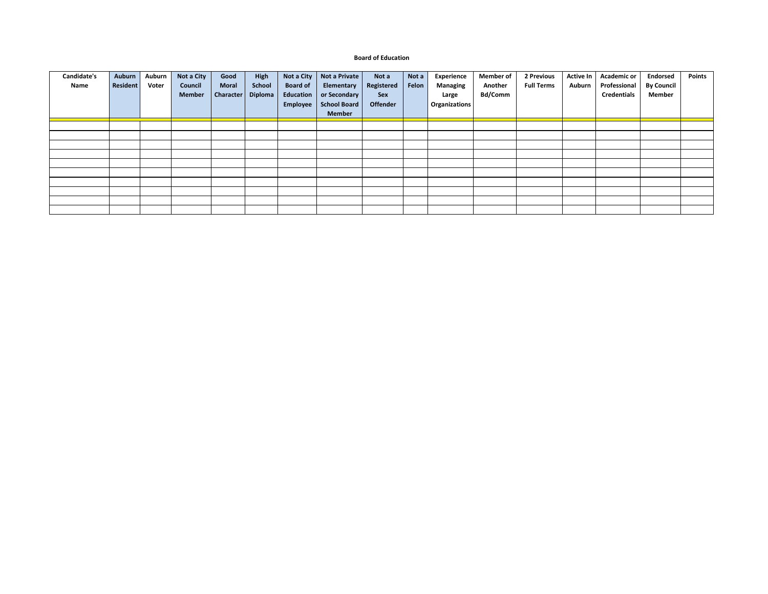#### **Board of Education**

| Candidate's | Auburn          | Auburn | Not a City    | Good             | <b>High</b>    | Not a City      | Not a Private | Not a             | Not a | Experience      | <b>Member of</b> | 2 Previous        | <b>Active In</b> | <b>Academic or</b> | <b>Endorsed</b>   | <b>Points</b> |
|-------------|-----------------|--------|---------------|------------------|----------------|-----------------|---------------|-------------------|-------|-----------------|------------------|-------------------|------------------|--------------------|-------------------|---------------|
| Name        | <b>Resident</b> | Voter  | Council       | <b>Moral</b>     | School         | <b>Board of</b> | Elementary    | <b>Registered</b> | Felon | <b>Managing</b> | Another          | <b>Full Terms</b> | Auburn           | Professional       | <b>By Council</b> |               |
|             |                 |        | <b>Member</b> | <b>Character</b> | <b>Diploma</b> | Education       | or Secondary  | Sex               |       | Large           | <b>Bd/Comm</b>   |                   |                  | <b>Credentials</b> | Member            |               |
|             |                 |        |               |                  |                | Employee        | School Board  | <b>Offender</b>   |       | Organizations   |                  |                   |                  |                    |                   |               |
|             |                 |        |               |                  |                |                 | <b>Member</b> |                   |       |                 |                  |                   |                  |                    |                   |               |
|             |                 |        |               |                  |                |                 |               |                   |       |                 |                  |                   |                  |                    |                   |               |
|             |                 |        |               |                  |                |                 |               |                   |       |                 |                  |                   |                  |                    |                   |               |
|             |                 |        |               |                  |                |                 |               |                   |       |                 |                  |                   |                  |                    |                   |               |
|             |                 |        |               |                  |                |                 |               |                   |       |                 |                  |                   |                  |                    |                   |               |
|             |                 |        |               |                  |                |                 |               |                   |       |                 |                  |                   |                  |                    |                   |               |
|             |                 |        |               |                  |                |                 |               |                   |       |                 |                  |                   |                  |                    |                   |               |
|             |                 |        |               |                  |                |                 |               |                   |       |                 |                  |                   |                  |                    |                   |               |
|             |                 |        |               |                  |                |                 |               |                   |       |                 |                  |                   |                  |                    |                   |               |
|             |                 |        |               |                  |                |                 |               |                   |       |                 |                  |                   |                  |                    |                   |               |
|             |                 |        |               |                  |                |                 |               |                   |       |                 |                  |                   |                  |                    |                   |               |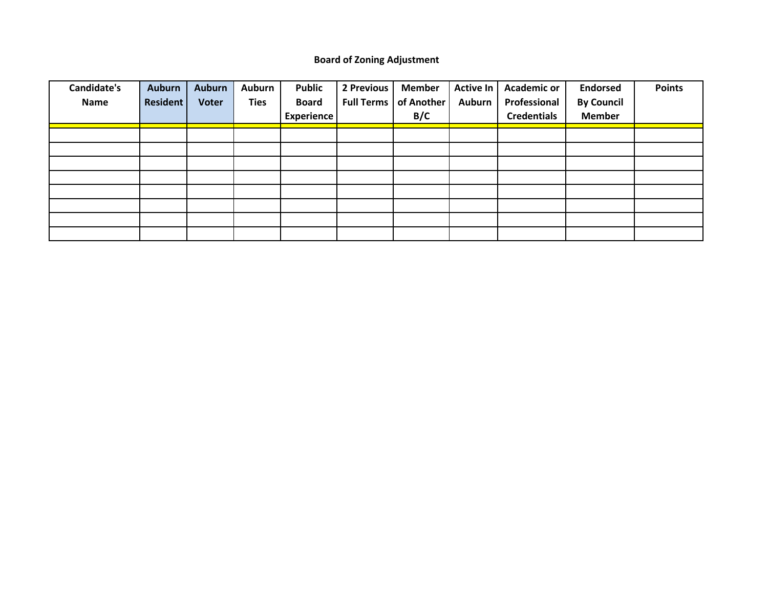# **Board of Zoning Adjustment**

| <b>Candidate's</b> | <b>Auburn</b>   | <b>Auburn</b> | Auburn      | Public            | 2 Previous        | <b>Member</b> | <b>Active In</b> | <b>Academic or</b> | <b>Endorsed</b>   | <b>Points</b> |
|--------------------|-----------------|---------------|-------------|-------------------|-------------------|---------------|------------------|--------------------|-------------------|---------------|
| Name               | <b>Resident</b> | <b>Voter</b>  | <b>Ties</b> | <b>Board</b>      | <b>Full Terms</b> | of Another    | <b>Auburn</b>    | Professional       | <b>By Council</b> |               |
|                    |                 |               |             | <b>Experience</b> |                   | B/C           |                  | <b>Credentials</b> | <b>Member</b>     |               |
|                    |                 |               |             |                   |                   |               |                  |                    |                   |               |
|                    |                 |               |             |                   |                   |               |                  |                    |                   |               |
|                    |                 |               |             |                   |                   |               |                  |                    |                   |               |
|                    |                 |               |             |                   |                   |               |                  |                    |                   |               |
|                    |                 |               |             |                   |                   |               |                  |                    |                   |               |
|                    |                 |               |             |                   |                   |               |                  |                    |                   |               |
|                    |                 |               |             |                   |                   |               |                  |                    |                   |               |
|                    |                 |               |             |                   |                   |               |                  |                    |                   |               |
|                    |                 |               |             |                   |                   |               |                  |                    |                   |               |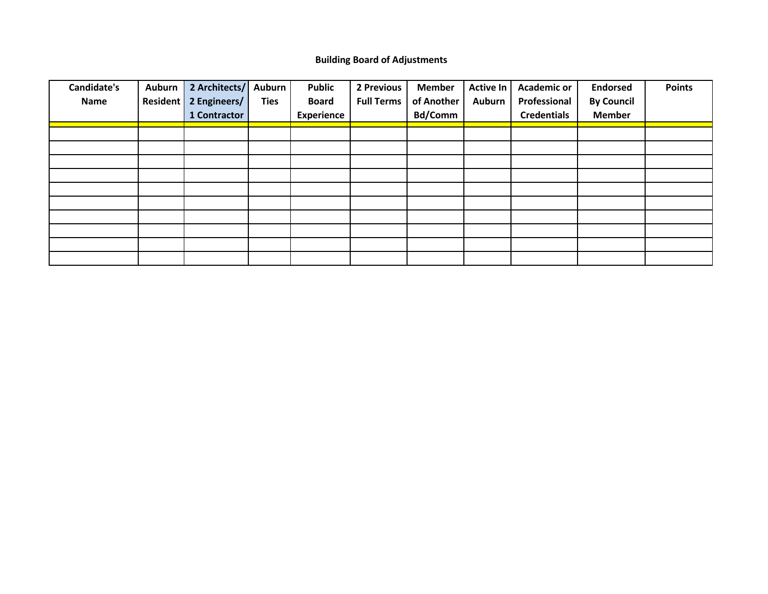## **Building Board of Adjustments**

| Candidate's | <b>Auburn</b>   | 2 Architects/ | <b>Auburn</b> | <b>Public</b>     | 2 Previous        | <b>Member</b>  | <b>Active In</b> | <b>Academic or</b> | <b>Endorsed</b>   | <b>Points</b> |
|-------------|-----------------|---------------|---------------|-------------------|-------------------|----------------|------------------|--------------------|-------------------|---------------|
| Name        | <b>Resident</b> | 2 Engineers/  | <b>Ties</b>   | <b>Board</b>      | <b>Full Terms</b> | of Another     | <b>Auburn</b>    | Professional       | <b>By Council</b> |               |
|             |                 | 1 Contractor  |               | <b>Experience</b> |                   | <b>Bd/Comm</b> |                  | <b>Credentials</b> | <b>Member</b>     |               |
|             |                 |               |               |                   |                   |                |                  |                    |                   |               |
|             |                 |               |               |                   |                   |                |                  |                    |                   |               |
|             |                 |               |               |                   |                   |                |                  |                    |                   |               |
|             |                 |               |               |                   |                   |                |                  |                    |                   |               |
|             |                 |               |               |                   |                   |                |                  |                    |                   |               |
|             |                 |               |               |                   |                   |                |                  |                    |                   |               |
|             |                 |               |               |                   |                   |                |                  |                    |                   |               |
|             |                 |               |               |                   |                   |                |                  |                    |                   |               |
|             |                 |               |               |                   |                   |                |                  |                    |                   |               |
|             |                 |               |               |                   |                   |                |                  |                    |                   |               |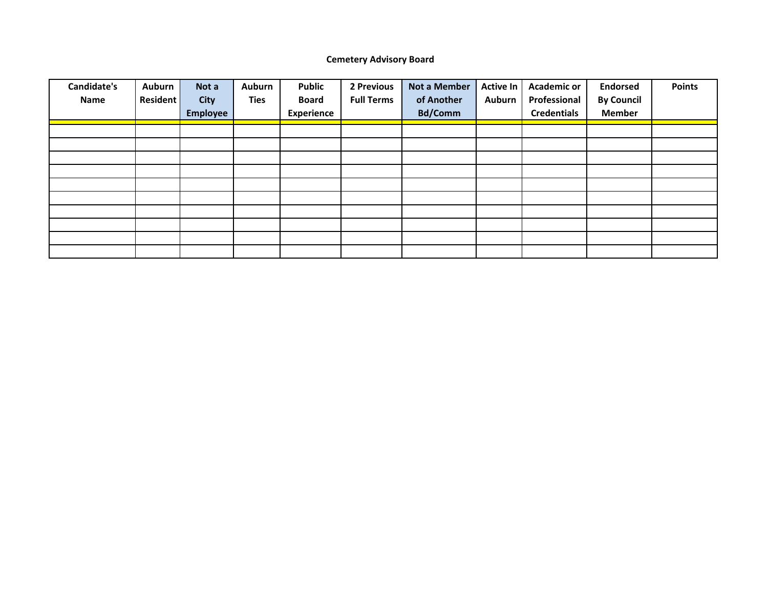## **Cemetery Advisory Board**

| <b>Candidate's</b> | Auburn          | Not a           | <b>Auburn</b> | <b>Public</b>     | 2 Previous        | <b>Not a Member</b> | <b>Active In</b> | <b>Academic or</b> | <b>Endorsed</b>   | <b>Points</b> |
|--------------------|-----------------|-----------------|---------------|-------------------|-------------------|---------------------|------------------|--------------------|-------------------|---------------|
| Name               | <b>Resident</b> | <b>City</b>     | <b>Ties</b>   | <b>Board</b>      | <b>Full Terms</b> | of Another          | <b>Auburn</b>    | Professional       | <b>By Council</b> |               |
|                    |                 | <b>Employee</b> |               | <b>Experience</b> |                   | <b>Bd/Comm</b>      |                  | <b>Credentials</b> | <b>Member</b>     |               |
|                    |                 |                 |               |                   |                   |                     |                  |                    |                   |               |
|                    |                 |                 |               |                   |                   |                     |                  |                    |                   |               |
|                    |                 |                 |               |                   |                   |                     |                  |                    |                   |               |
|                    |                 |                 |               |                   |                   |                     |                  |                    |                   |               |
|                    |                 |                 |               |                   |                   |                     |                  |                    |                   |               |
|                    |                 |                 |               |                   |                   |                     |                  |                    |                   |               |
|                    |                 |                 |               |                   |                   |                     |                  |                    |                   |               |
|                    |                 |                 |               |                   |                   |                     |                  |                    |                   |               |
|                    |                 |                 |               |                   |                   |                     |                  |                    |                   |               |
|                    |                 |                 |               |                   |                   |                     |                  |                    |                   |               |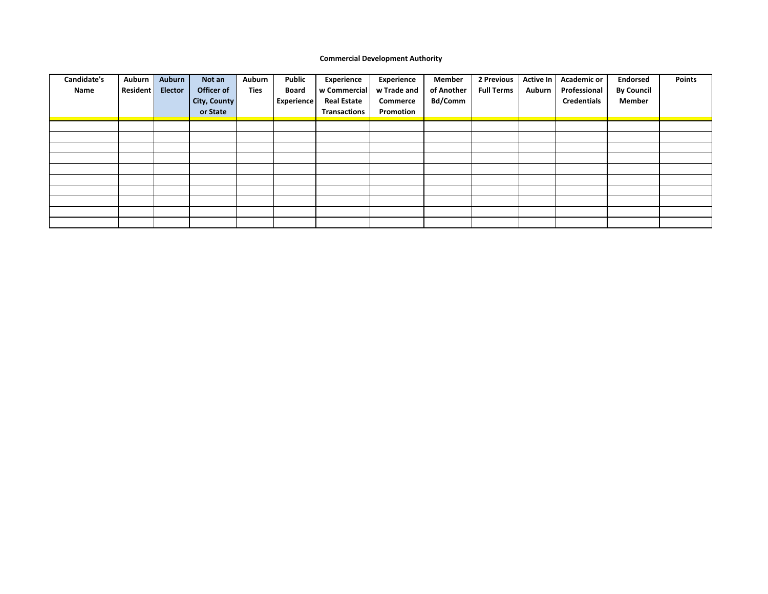#### **Commercial Development Authority**

| Candidate's<br>Name | Auburn<br><b>Resident</b> | Auburn<br><b>Elector</b> | Not an<br>Officer of<br><b>City, County</b><br>or State | Auburn<br>Ties | Public<br><b>Board</b><br><b>Experience</b> | Experience<br>w Commercial<br><b>Real Estate</b><br><b>Transactions</b> | <b>Experience</b><br>w Trade and<br><b>Commerce</b><br>Promotion | <b>Member</b><br>of Another<br>Bd/Comm | 2 Previous<br><b>Full Terms</b> | Active In<br>Auburn | <b>Academic or</b><br>Professional<br><b>Credentials</b> | <b>Endorsed</b><br><b>By Council</b><br><b>Member</b> | <b>Points</b> |
|---------------------|---------------------------|--------------------------|---------------------------------------------------------|----------------|---------------------------------------------|-------------------------------------------------------------------------|------------------------------------------------------------------|----------------------------------------|---------------------------------|---------------------|----------------------------------------------------------|-------------------------------------------------------|---------------|
|                     |                           |                          |                                                         |                |                                             |                                                                         |                                                                  |                                        |                                 |                     |                                                          |                                                       |               |
|                     |                           |                          |                                                         |                |                                             |                                                                         |                                                                  |                                        |                                 |                     |                                                          |                                                       |               |
|                     |                           |                          |                                                         |                |                                             |                                                                         |                                                                  |                                        |                                 |                     |                                                          |                                                       |               |
|                     |                           |                          |                                                         |                |                                             |                                                                         |                                                                  |                                        |                                 |                     |                                                          |                                                       |               |
|                     |                           |                          |                                                         |                |                                             |                                                                         |                                                                  |                                        |                                 |                     |                                                          |                                                       |               |
|                     |                           |                          |                                                         |                |                                             |                                                                         |                                                                  |                                        |                                 |                     |                                                          |                                                       |               |
|                     |                           |                          |                                                         |                |                                             |                                                                         |                                                                  |                                        |                                 |                     |                                                          |                                                       |               |
|                     |                           |                          |                                                         |                |                                             |                                                                         |                                                                  |                                        |                                 |                     |                                                          |                                                       |               |
|                     |                           |                          |                                                         |                |                                             |                                                                         |                                                                  |                                        |                                 |                     |                                                          |                                                       |               |
|                     |                           |                          |                                                         |                |                                             |                                                                         |                                                                  |                                        |                                 |                     |                                                          |                                                       |               |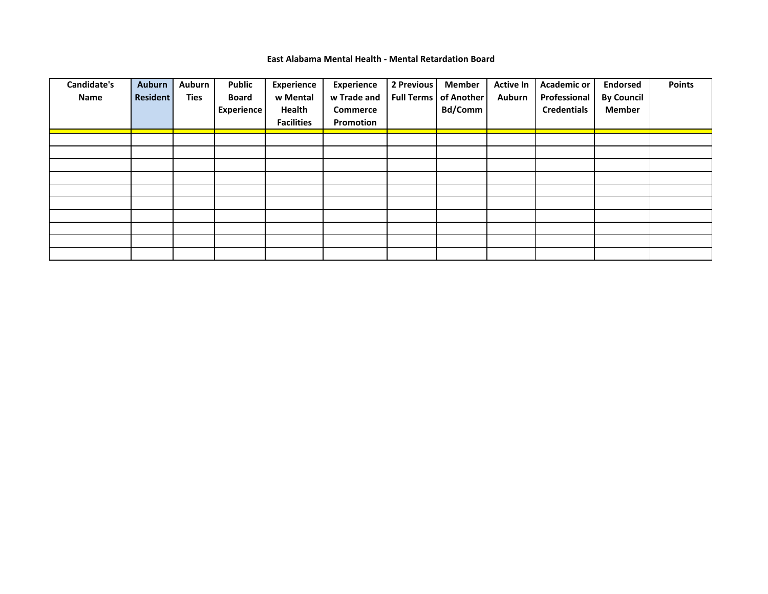### **East Alabama Mental Health - Mental Retardation Board**

| Candidate's | <b>Auburn</b>   | <b>Auburn</b> | <b>Public</b>     | Experience        | Experience      | 2 Previous | <b>Member</b>                  | <b>Active In</b> | <b>Academic or</b> | <b>Endorsed</b>   | <b>Points</b> |
|-------------|-----------------|---------------|-------------------|-------------------|-----------------|------------|--------------------------------|------------------|--------------------|-------------------|---------------|
| Name        | <b>Resident</b> | Ties          | <b>Board</b>      | w Mental          | w Trade and     |            | <b>Full Terms   of Another</b> | <b>Auburn</b>    | Professional       | <b>By Council</b> |               |
|             |                 |               | <b>Experience</b> | Health            | <b>Commerce</b> |            | Bd/Comm                        |                  | <b>Credentials</b> | <b>Member</b>     |               |
|             |                 |               |                   | <b>Facilities</b> | Promotion       |            |                                |                  |                    |                   |               |
|             |                 |               |                   |                   |                 |            |                                |                  |                    |                   |               |
|             |                 |               |                   |                   |                 |            |                                |                  |                    |                   |               |
|             |                 |               |                   |                   |                 |            |                                |                  |                    |                   |               |
|             |                 |               |                   |                   |                 |            |                                |                  |                    |                   |               |
|             |                 |               |                   |                   |                 |            |                                |                  |                    |                   |               |
|             |                 |               |                   |                   |                 |            |                                |                  |                    |                   |               |
|             |                 |               |                   |                   |                 |            |                                |                  |                    |                   |               |
|             |                 |               |                   |                   |                 |            |                                |                  |                    |                   |               |
|             |                 |               |                   |                   |                 |            |                                |                  |                    |                   |               |
|             |                 |               |                   |                   |                 |            |                                |                  |                    |                   |               |
|             |                 |               |                   |                   |                 |            |                                |                  |                    |                   |               |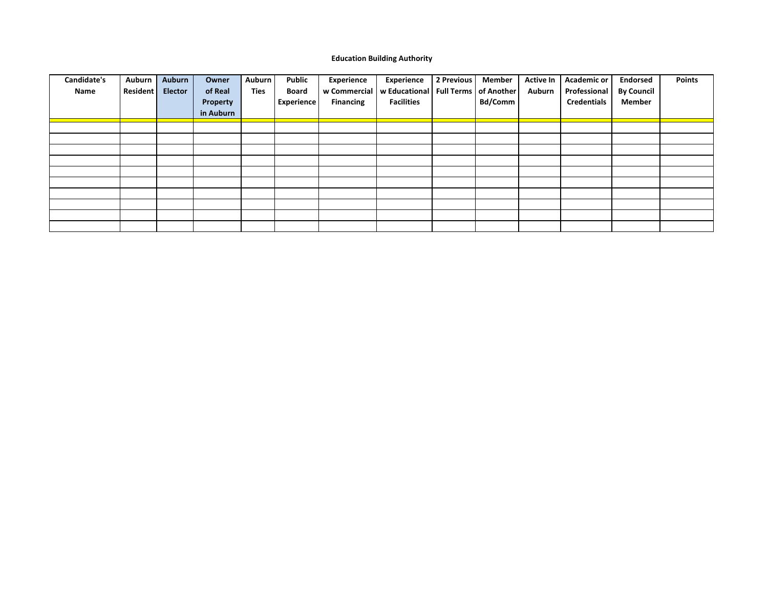### **Education Building Authority**

| Candidate's | Auburn   | Auburn         | Owner     | <b>Auburn</b> | <b>Public</b>     | Experience       | Experience                                             | 2 Previous | <b>Member</b>  | <b>Active In</b> | <b>Academic or</b> | <b>Endorsed</b>   | <b>Points</b> |
|-------------|----------|----------------|-----------|---------------|-------------------|------------------|--------------------------------------------------------|------------|----------------|------------------|--------------------|-------------------|---------------|
| Name        | Resident | <b>Elector</b> | of Real   | <b>Ties</b>   | <b>Board</b>      |                  | w Commercial   w Educational   Full Terms   of Another |            |                | Auburn           | Professional       | <b>By Council</b> |               |
|             |          |                | Property  |               | <b>Experience</b> | <b>Financing</b> | <b>Facilities</b>                                      |            | <b>Bd/Comm</b> |                  | <b>Credentials</b> | Member            |               |
|             |          |                | in Auburn |               |                   |                  |                                                        |            |                |                  |                    |                   |               |
|             |          |                |           |               |                   |                  |                                                        |            |                |                  |                    |                   |               |
|             |          |                |           |               |                   |                  |                                                        |            |                |                  |                    |                   |               |
|             |          |                |           |               |                   |                  |                                                        |            |                |                  |                    |                   |               |
|             |          |                |           |               |                   |                  |                                                        |            |                |                  |                    |                   |               |
|             |          |                |           |               |                   |                  |                                                        |            |                |                  |                    |                   |               |
|             |          |                |           |               |                   |                  |                                                        |            |                |                  |                    |                   |               |
|             |          |                |           |               |                   |                  |                                                        |            |                |                  |                    |                   |               |
|             |          |                |           |               |                   |                  |                                                        |            |                |                  |                    |                   |               |
|             |          |                |           |               |                   |                  |                                                        |            |                |                  |                    |                   |               |
|             |          |                |           |               |                   |                  |                                                        |            |                |                  |                    |                   |               |
|             |          |                |           |               |                   |                  |                                                        |            |                |                  |                    |                   |               |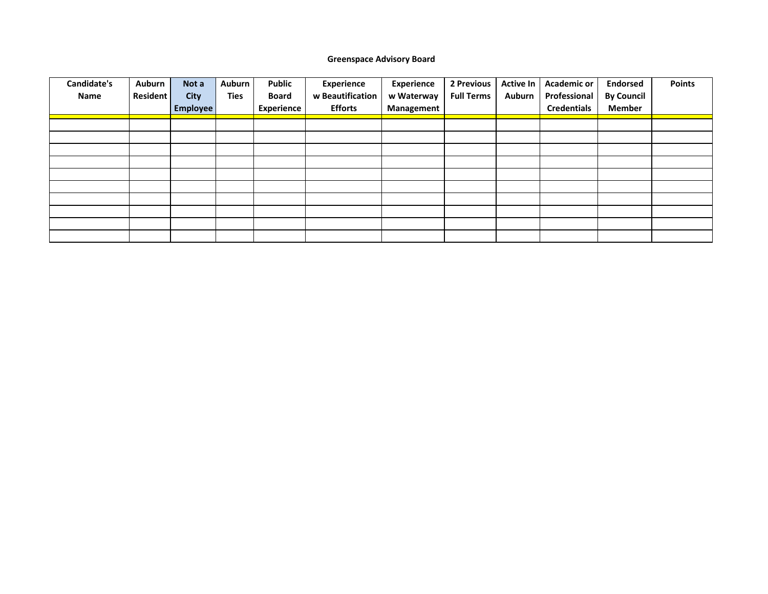## **Greenspace Advisory Board**

| Candidate's | Auburn          | Not a           | Auburn      | <b>Public</b>     | Experience       | <b>Experience</b> | 2 Previous        | <b>Active In</b> | <b>Academic or</b> | <b>Endorsed</b>   | <b>Points</b> |
|-------------|-----------------|-----------------|-------------|-------------------|------------------|-------------------|-------------------|------------------|--------------------|-------------------|---------------|
| Name        | <b>Resident</b> | <b>City</b>     | <b>Ties</b> | <b>Board</b>      | w Beautification | w Waterway        | <b>Full Terms</b> | <b>Auburn</b>    | Professional       | <b>By Council</b> |               |
|             |                 | <b>Employee</b> |             | <b>Experience</b> | <b>Efforts</b>   | Management        |                   |                  | <b>Credentials</b> | <b>Member</b>     |               |
|             |                 |                 |             |                   |                  |                   |                   |                  |                    |                   |               |
|             |                 |                 |             |                   |                  |                   |                   |                  |                    |                   |               |
|             |                 |                 |             |                   |                  |                   |                   |                  |                    |                   |               |
|             |                 |                 |             |                   |                  |                   |                   |                  |                    |                   |               |
|             |                 |                 |             |                   |                  |                   |                   |                  |                    |                   |               |
|             |                 |                 |             |                   |                  |                   |                   |                  |                    |                   |               |
|             |                 |                 |             |                   |                  |                   |                   |                  |                    |                   |               |
|             |                 |                 |             |                   |                  |                   |                   |                  |                    |                   |               |
|             |                 |                 |             |                   |                  |                   |                   |                  |                    |                   |               |
|             |                 |                 |             |                   |                  |                   |                   |                  |                    |                   |               |
|             |                 |                 |             |                   |                  |                   |                   |                  |                    |                   |               |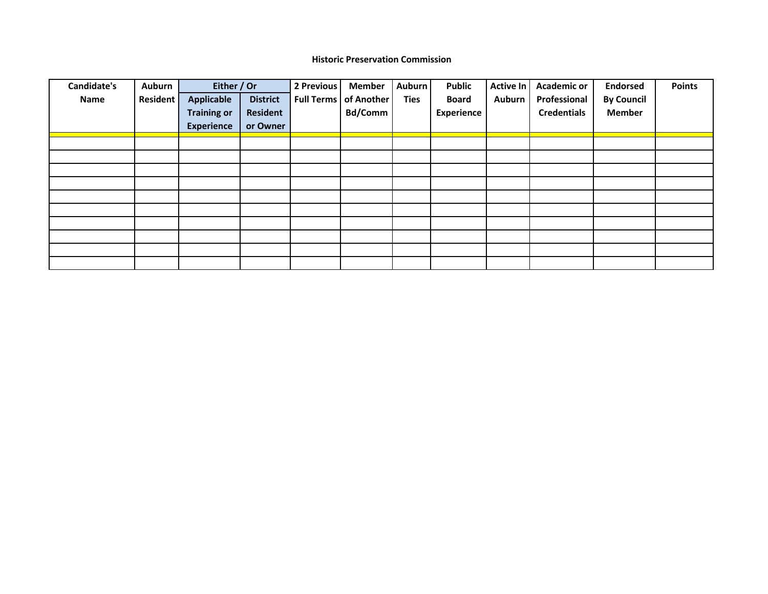### **Historic Preservation Commission**

| Candidate's | Auburn   | Either / Or        |                 | 2 Previous | <b>Member</b>                  | Auburn      | <b>Public</b>     | Active In     | <b>Academic or</b> | <b>Endorsed</b>   | <b>Points</b> |
|-------------|----------|--------------------|-----------------|------------|--------------------------------|-------------|-------------------|---------------|--------------------|-------------------|---------------|
| Name        | Resident | <b>Applicable</b>  | <b>District</b> |            | <b>Full Terms   of Another</b> | <b>Ties</b> | <b>Board</b>      | <b>Auburn</b> | Professional       | <b>By Council</b> |               |
|             |          | <b>Training or</b> | <b>Resident</b> |            | <b>Bd/Comm</b>                 |             | <b>Experience</b> |               | <b>Credentials</b> | <b>Member</b>     |               |
|             |          | <b>Experience</b>  | or Owner        |            |                                |             |                   |               |                    |                   |               |
|             |          |                    |                 |            |                                |             |                   |               |                    |                   |               |
|             |          |                    |                 |            |                                |             |                   |               |                    |                   |               |
|             |          |                    |                 |            |                                |             |                   |               |                    |                   |               |
|             |          |                    |                 |            |                                |             |                   |               |                    |                   |               |
|             |          |                    |                 |            |                                |             |                   |               |                    |                   |               |
|             |          |                    |                 |            |                                |             |                   |               |                    |                   |               |
|             |          |                    |                 |            |                                |             |                   |               |                    |                   |               |
|             |          |                    |                 |            |                                |             |                   |               |                    |                   |               |
|             |          |                    |                 |            |                                |             |                   |               |                    |                   |               |
|             |          |                    |                 |            |                                |             |                   |               |                    |                   |               |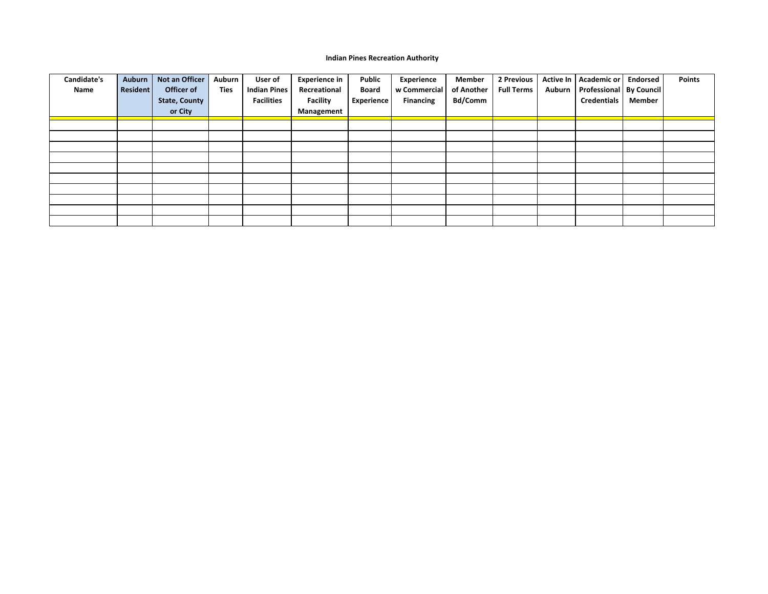#### **Indian Pines Recreation Authority**

| Candidate's<br>Name | <b>Auburn</b><br><b>Resident</b> | Not an Officer<br>Officer of<br><b>State, County</b> | Auburn<br><b>Ties</b> | User of<br><b>Indian Pines</b><br><b>Facilities</b> | <b>Experience in</b><br>Recreational<br><b>Facility</b> | Public<br><b>Board</b><br><b>Experience</b> | <b>Experience</b><br>w Commercial<br><b>Financing</b> | Member<br>of Another<br>Bd/Comm | 2 Previous<br><b>Full Terms</b> | Active In<br>Auburn | Academic or   Endorsed<br>Professional   By Council<br><b>Credentials</b> | Member | <b>Points</b> |
|---------------------|----------------------------------|------------------------------------------------------|-----------------------|-----------------------------------------------------|---------------------------------------------------------|---------------------------------------------|-------------------------------------------------------|---------------------------------|---------------------------------|---------------------|---------------------------------------------------------------------------|--------|---------------|
|                     |                                  | or City                                              |                       |                                                     | Management                                              |                                             |                                                       |                                 |                                 |                     |                                                                           |        |               |
|                     |                                  |                                                      |                       |                                                     |                                                         |                                             |                                                       |                                 |                                 |                     |                                                                           |        |               |
|                     |                                  |                                                      |                       |                                                     |                                                         |                                             |                                                       |                                 |                                 |                     |                                                                           |        |               |
|                     |                                  |                                                      |                       |                                                     |                                                         |                                             |                                                       |                                 |                                 |                     |                                                                           |        |               |
|                     |                                  |                                                      |                       |                                                     |                                                         |                                             |                                                       |                                 |                                 |                     |                                                                           |        |               |
|                     |                                  |                                                      |                       |                                                     |                                                         |                                             |                                                       |                                 |                                 |                     |                                                                           |        |               |
|                     |                                  |                                                      |                       |                                                     |                                                         |                                             |                                                       |                                 |                                 |                     |                                                                           |        |               |
|                     |                                  |                                                      |                       |                                                     |                                                         |                                             |                                                       |                                 |                                 |                     |                                                                           |        |               |
|                     |                                  |                                                      |                       |                                                     |                                                         |                                             |                                                       |                                 |                                 |                     |                                                                           |        |               |
|                     |                                  |                                                      |                       |                                                     |                                                         |                                             |                                                       |                                 |                                 |                     |                                                                           |        |               |
|                     |                                  |                                                      |                       |                                                     |                                                         |                                             |                                                       |                                 |                                 |                     |                                                                           |        |               |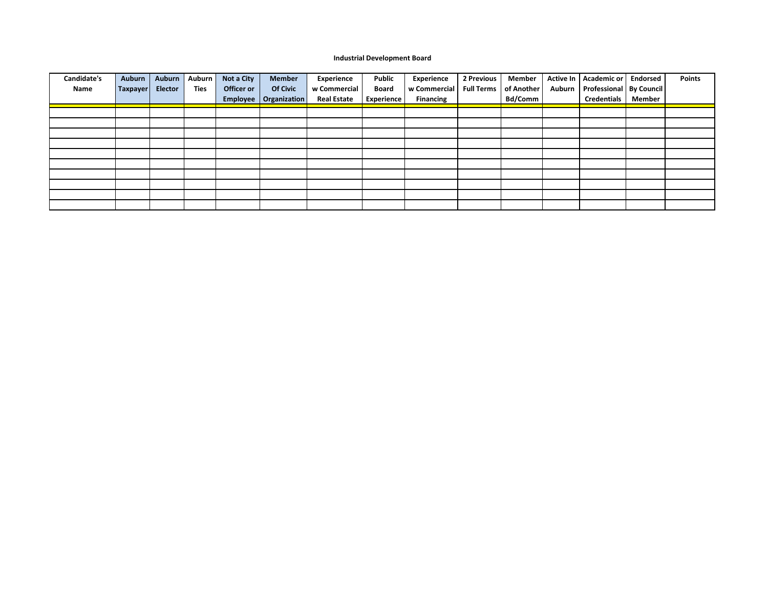#### **Industrial Development Board**

| Candidate's | Auburn   | Auburn         | Auburn      | Not a City | <b>Member</b>           | Experience         | Public       | <b>Experience</b> | 2 Previous        | Member         | Active In   Academic or            | <b>Endorsed</b> | <b>Points</b> |
|-------------|----------|----------------|-------------|------------|-------------------------|--------------------|--------------|-------------------|-------------------|----------------|------------------------------------|-----------------|---------------|
| Name        | Taxpayer | <b>Elector</b> | <b>Ties</b> | Officer or | <b>Of Civic</b>         | w Commercial       | <b>Board</b> | w Commercial      | <b>Full Terms</b> | of Another     | Auburn   Professional   By Council |                 |               |
|             |          |                |             |            | Employee   Organization | <b>Real Estate</b> | Experience   | <b>Financing</b>  |                   | <b>Bd/Comm</b> | <b>Credentials</b>                 | Member          |               |
|             |          |                |             |            |                         |                    |              |                   |                   |                |                                    |                 |               |
|             |          |                |             |            |                         |                    |              |                   |                   |                |                                    |                 |               |
|             |          |                |             |            |                         |                    |              |                   |                   |                |                                    |                 |               |
|             |          |                |             |            |                         |                    |              |                   |                   |                |                                    |                 |               |
|             |          |                |             |            |                         |                    |              |                   |                   |                |                                    |                 |               |
|             |          |                |             |            |                         |                    |              |                   |                   |                |                                    |                 |               |
|             |          |                |             |            |                         |                    |              |                   |                   |                |                                    |                 |               |
|             |          |                |             |            |                         |                    |              |                   |                   |                |                                    |                 |               |
|             |          |                |             |            |                         |                    |              |                   |                   |                |                                    |                 |               |
|             |          |                |             |            |                         |                    |              |                   |                   |                |                                    |                 |               |
|             |          |                |             |            |                         |                    |              |                   |                   |                |                                    |                 |               |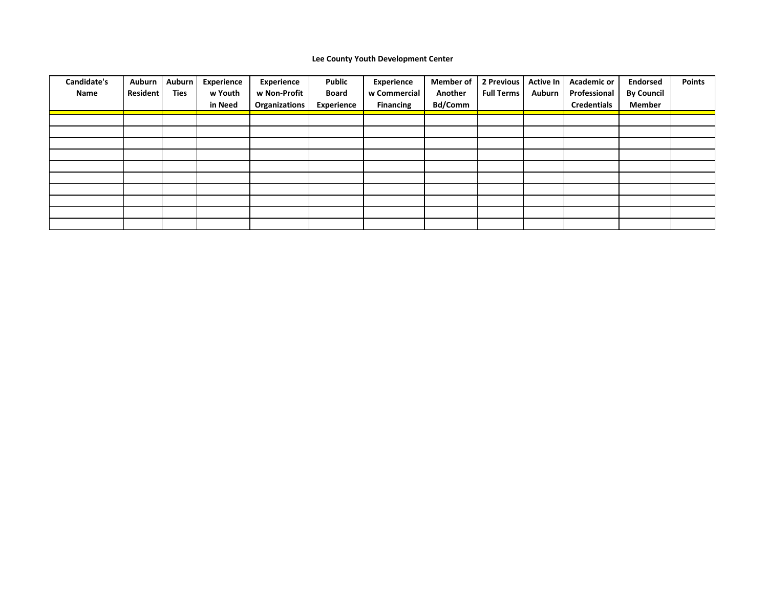### **Lee County Youth Development Center**

| Candidate's<br>Name | Auburn<br>Resident | Auburn<br><b>Ties</b> | <b>Experience</b><br>w Youth<br>in Need | Experience<br>w Non-Profit<br>Organizations | <b>Public</b><br><b>Board</b><br><b>Experience</b> | Experience<br>w Commercial<br><b>Financing</b> | <b>Member of</b><br>Another<br><b>Bd/Comm</b> | 2 Previous<br><b>Full Terms</b> | <b>Active In</b><br>Auburn | <b>Academic or</b><br>Professional<br><b>Credentials</b> | <b>Endorsed</b><br><b>By Council</b><br><b>Member</b> | <b>Points</b> |
|---------------------|--------------------|-----------------------|-----------------------------------------|---------------------------------------------|----------------------------------------------------|------------------------------------------------|-----------------------------------------------|---------------------------------|----------------------------|----------------------------------------------------------|-------------------------------------------------------|---------------|
|                     |                    |                       |                                         |                                             |                                                    |                                                |                                               |                                 |                            |                                                          |                                                       |               |
|                     |                    |                       |                                         |                                             |                                                    |                                                |                                               |                                 |                            |                                                          |                                                       |               |
|                     |                    |                       |                                         |                                             |                                                    |                                                |                                               |                                 |                            |                                                          |                                                       |               |
|                     |                    |                       |                                         |                                             |                                                    |                                                |                                               |                                 |                            |                                                          |                                                       |               |
|                     |                    |                       |                                         |                                             |                                                    |                                                |                                               |                                 |                            |                                                          |                                                       |               |
|                     |                    |                       |                                         |                                             |                                                    |                                                |                                               |                                 |                            |                                                          |                                                       |               |
|                     |                    |                       |                                         |                                             |                                                    |                                                |                                               |                                 |                            |                                                          |                                                       |               |
|                     |                    |                       |                                         |                                             |                                                    |                                                |                                               |                                 |                            |                                                          |                                                       |               |
|                     |                    |                       |                                         |                                             |                                                    |                                                |                                               |                                 |                            |                                                          |                                                       |               |
|                     |                    |                       |                                         |                                             |                                                    |                                                |                                               |                                 |                            |                                                          |                                                       |               |
|                     |                    |                       |                                         |                                             |                                                    |                                                |                                               |                                 |                            |                                                          |                                                       |               |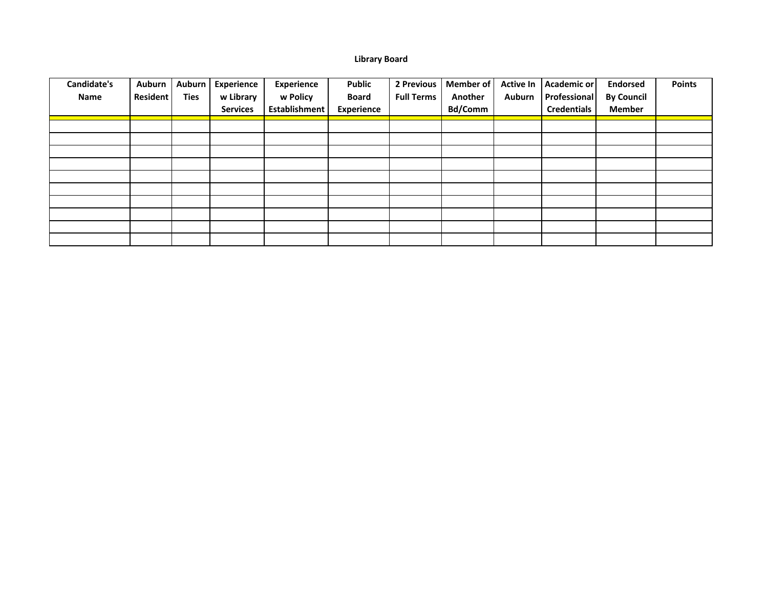## **Library Board**

| <b>Candidate's</b> | <b>Auburn</b>   | <b>Auburn</b> | <b>Experience</b> | <b>Experience</b>    | <b>Public</b> | 2 Previous        | Member of      | <b>Active In</b> | Academic or        | <b>Endorsed</b>   | <b>Points</b> |
|--------------------|-----------------|---------------|-------------------|----------------------|---------------|-------------------|----------------|------------------|--------------------|-------------------|---------------|
| Name               | <b>Resident</b> | <b>Ties</b>   | w Library         | w Policy             | <b>Board</b>  | <b>Full Terms</b> | Another        | Auburn           | Professional       | <b>By Council</b> |               |
|                    |                 |               | <b>Services</b>   | <b>Establishment</b> | Experience    |                   | <b>Bd/Comm</b> |                  | <b>Credentials</b> | <b>Member</b>     |               |
|                    |                 |               |                   |                      |               |                   |                |                  |                    |                   |               |
|                    |                 |               |                   |                      |               |                   |                |                  |                    |                   |               |
|                    |                 |               |                   |                      |               |                   |                |                  |                    |                   |               |
|                    |                 |               |                   |                      |               |                   |                |                  |                    |                   |               |
|                    |                 |               |                   |                      |               |                   |                |                  |                    |                   |               |
|                    |                 |               |                   |                      |               |                   |                |                  |                    |                   |               |
|                    |                 |               |                   |                      |               |                   |                |                  |                    |                   |               |
|                    |                 |               |                   |                      |               |                   |                |                  |                    |                   |               |
|                    |                 |               |                   |                      |               |                   |                |                  |                    |                   |               |
|                    |                 |               |                   |                      |               |                   |                |                  |                    |                   |               |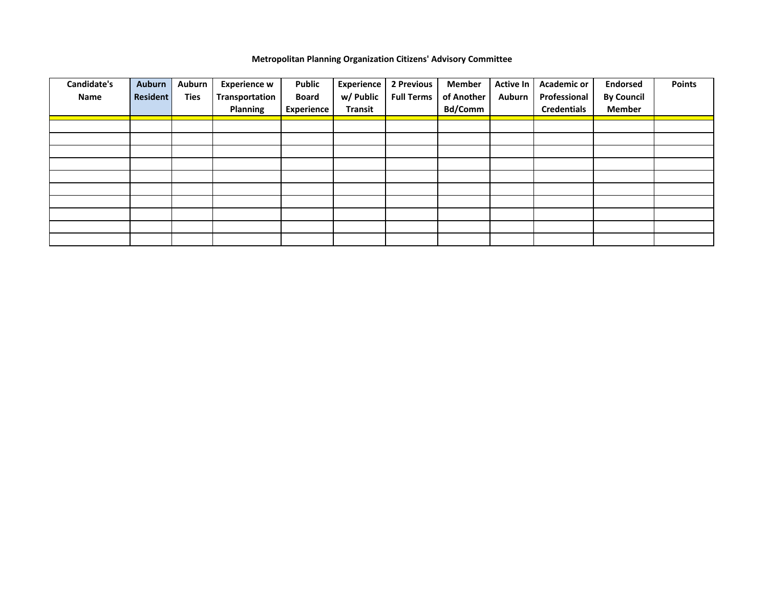### **Metropolitan Planning Organization Citizens' Advisory Committee**

| <b>Candidate's</b> | Auburn          | Auburn      | <b>Experience w</b> | <b>Public</b> | <b>Experience</b> | 2 Previous        | <b>Member</b>  | <b>Active In</b> | <b>Academic or</b> | <b>Endorsed</b>   | <b>Points</b> |
|--------------------|-----------------|-------------|---------------------|---------------|-------------------|-------------------|----------------|------------------|--------------------|-------------------|---------------|
| Name               | <b>Resident</b> | <b>Ties</b> | Transportation      | <b>Board</b>  | w/ Public         | <b>Full Terms</b> | of Another     | <b>Auburn</b>    | Professional       | <b>By Council</b> |               |
|                    |                 |             | <b>Planning</b>     | Experience    | <b>Transit</b>    |                   | <b>Bd/Comm</b> |                  | <b>Credentials</b> | <b>Member</b>     |               |
|                    |                 |             |                     |               |                   |                   |                |                  |                    |                   |               |
|                    |                 |             |                     |               |                   |                   |                |                  |                    |                   |               |
|                    |                 |             |                     |               |                   |                   |                |                  |                    |                   |               |
|                    |                 |             |                     |               |                   |                   |                |                  |                    |                   |               |
|                    |                 |             |                     |               |                   |                   |                |                  |                    |                   |               |
|                    |                 |             |                     |               |                   |                   |                |                  |                    |                   |               |
|                    |                 |             |                     |               |                   |                   |                |                  |                    |                   |               |
|                    |                 |             |                     |               |                   |                   |                |                  |                    |                   |               |
|                    |                 |             |                     |               |                   |                   |                |                  |                    |                   |               |
|                    |                 |             |                     |               |                   |                   |                |                  |                    |                   |               |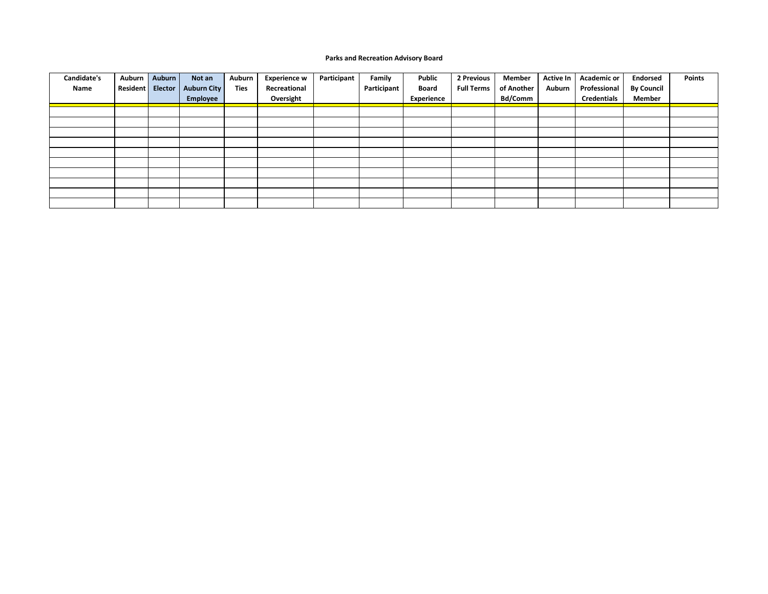#### **Parks and Recreation Advisory Board**

| Candidate's | Auburn   | Auburn         | Not an      | Auburn      | <b>Experience w</b> | Participant | Family      | <b>Public</b> | 2 Previous        | Member         | <b>Active In</b> | <b>Academic or</b> | <b>Endorsed</b>   | <b>Points</b> |
|-------------|----------|----------------|-------------|-------------|---------------------|-------------|-------------|---------------|-------------------|----------------|------------------|--------------------|-------------------|---------------|
| Name        | Resident | <b>Elector</b> | Auburn City | <b>Ties</b> | Recreational        |             | Participant | Board         | <b>Full Terms</b> | of Another     | Auburn           | Professional       | <b>By Council</b> |               |
|             |          |                | Employee    |             | Oversight           |             |             | Experience    |                   | <b>Bd/Comm</b> |                  | <b>Credentials</b> | Member            |               |
|             |          |                |             |             |                     |             |             |               |                   |                |                  |                    |                   |               |
|             |          |                |             |             |                     |             |             |               |                   |                |                  |                    |                   |               |
|             |          |                |             |             |                     |             |             |               |                   |                |                  |                    |                   |               |
|             |          |                |             |             |                     |             |             |               |                   |                |                  |                    |                   |               |
|             |          |                |             |             |                     |             |             |               |                   |                |                  |                    |                   |               |
|             |          |                |             |             |                     |             |             |               |                   |                |                  |                    |                   |               |
|             |          |                |             |             |                     |             |             |               |                   |                |                  |                    |                   |               |
|             |          |                |             |             |                     |             |             |               |                   |                |                  |                    |                   |               |
|             |          |                |             |             |                     |             |             |               |                   |                |                  |                    |                   |               |
|             |          |                |             |             |                     |             |             |               |                   |                |                  |                    |                   |               |
|             |          |                |             |             |                     |             |             |               |                   |                |                  |                    |                   |               |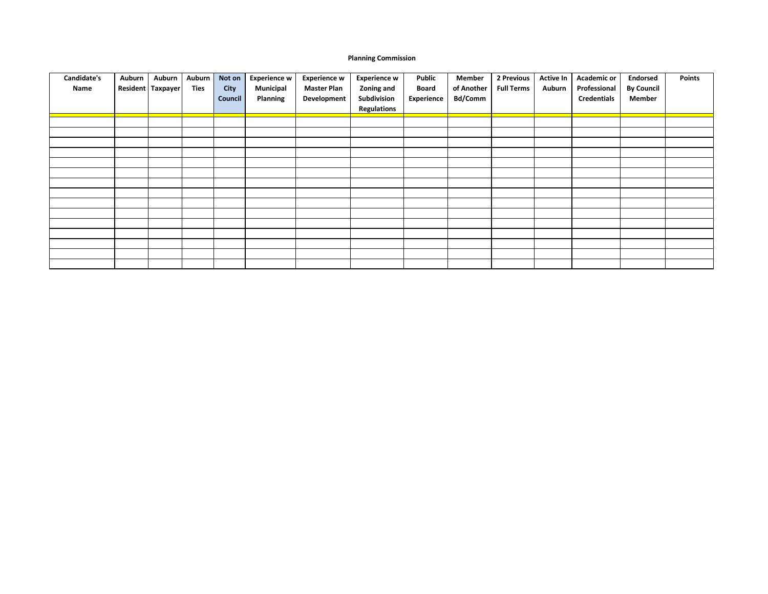#### **Planning Commission**

| Candidate's<br>Name | Auburn | Auburn<br>Resident Taxpayer | Auburn<br>Ties | Not on<br><b>City</b><br>Council | Experience w<br>Municipal<br>Planning | <b>Experience w</b><br><b>Master Plan</b><br>Development | <b>Experience w</b><br>Zoning and<br>Subdivision<br><b>Regulations</b> | Public<br>Board<br>Experience | Member<br>of Another<br><b>Bd/Comm</b> | 2 Previous<br><b>Full Terms</b> | <b>Active In</b><br>Auburn | <b>Academic or</b><br>Professional<br><b>Credentials</b> | <b>Endorsed</b><br><b>By Council</b><br><b>Member</b> | Points |
|---------------------|--------|-----------------------------|----------------|----------------------------------|---------------------------------------|----------------------------------------------------------|------------------------------------------------------------------------|-------------------------------|----------------------------------------|---------------------------------|----------------------------|----------------------------------------------------------|-------------------------------------------------------|--------|
|                     |        |                             |                |                                  |                                       |                                                          |                                                                        |                               |                                        |                                 |                            |                                                          |                                                       |        |
|                     |        |                             |                |                                  |                                       |                                                          |                                                                        |                               |                                        |                                 |                            |                                                          |                                                       |        |
|                     |        |                             |                |                                  |                                       |                                                          |                                                                        |                               |                                        |                                 |                            |                                                          |                                                       |        |
|                     |        |                             |                |                                  |                                       |                                                          |                                                                        |                               |                                        |                                 |                            |                                                          |                                                       |        |
|                     |        |                             |                |                                  |                                       |                                                          |                                                                        |                               |                                        |                                 |                            |                                                          |                                                       |        |
|                     |        |                             |                |                                  |                                       |                                                          |                                                                        |                               |                                        |                                 |                            |                                                          |                                                       |        |
|                     |        |                             |                |                                  |                                       |                                                          |                                                                        |                               |                                        |                                 |                            |                                                          |                                                       |        |
|                     |        |                             |                |                                  |                                       |                                                          |                                                                        |                               |                                        |                                 |                            |                                                          |                                                       |        |
|                     |        |                             |                |                                  |                                       |                                                          |                                                                        |                               |                                        |                                 |                            |                                                          |                                                       |        |
|                     |        |                             |                |                                  |                                       |                                                          |                                                                        |                               |                                        |                                 |                            |                                                          |                                                       |        |
|                     |        |                             |                |                                  |                                       |                                                          |                                                                        |                               |                                        |                                 |                            |                                                          |                                                       |        |
|                     |        |                             |                |                                  |                                       |                                                          |                                                                        |                               |                                        |                                 |                            |                                                          |                                                       |        |
|                     |        |                             |                |                                  |                                       |                                                          |                                                                        |                               |                                        |                                 |                            |                                                          |                                                       |        |
|                     |        |                             |                |                                  |                                       |                                                          |                                                                        |                               |                                        |                                 |                            |                                                          |                                                       |        |
|                     |        |                             |                |                                  |                                       |                                                          |                                                                        |                               |                                        |                                 |                            |                                                          |                                                       |        |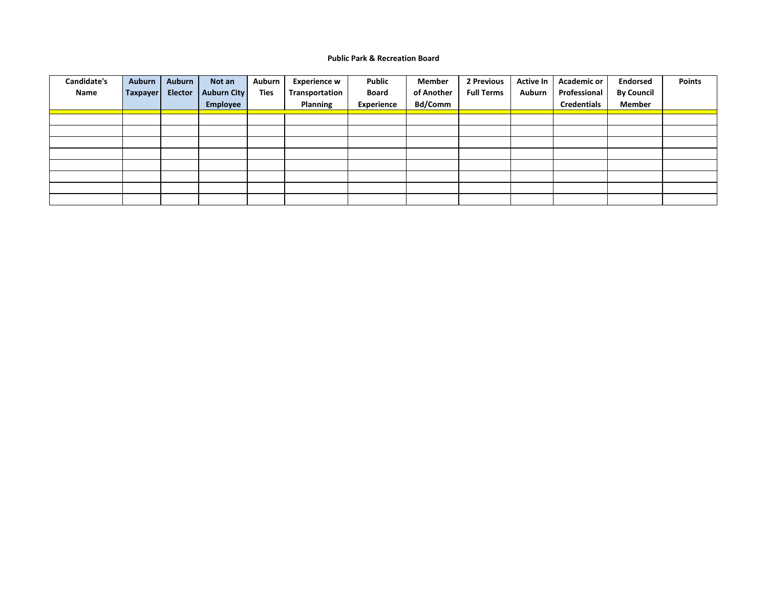#### **Public Park & Recreation Board**

| Candidate's<br>Name | Auburn<br>Taxpayer | Auburn<br><b>Elector</b> | Not an<br><b>Auburn City</b> | Auburn<br><b>Ties</b> | <b>Experience w</b><br>Transportation | <b>Public</b><br><b>Board</b> | Member<br>of Another | 2 Previous<br><b>Full Terms</b> | <b>Active In</b><br>Auburn | <b>Academic or</b><br>Professional | <b>Endorsed</b><br><b>By Council</b> | <b>Points</b> |
|---------------------|--------------------|--------------------------|------------------------------|-----------------------|---------------------------------------|-------------------------------|----------------------|---------------------------------|----------------------------|------------------------------------|--------------------------------------|---------------|
|                     |                    |                          | Employee                     |                       | Planning                              | <b>Experience</b>             | <b>Bd/Comm</b>       |                                 |                            | <b>Credentials</b>                 | <b>Member</b>                        |               |
|                     |                    |                          |                              |                       |                                       |                               |                      |                                 |                            |                                    |                                      |               |
|                     |                    |                          |                              |                       |                                       |                               |                      |                                 |                            |                                    |                                      |               |
|                     |                    |                          |                              |                       |                                       |                               |                      |                                 |                            |                                    |                                      |               |
|                     |                    |                          |                              |                       |                                       |                               |                      |                                 |                            |                                    |                                      |               |
|                     |                    |                          |                              |                       |                                       |                               |                      |                                 |                            |                                    |                                      |               |
|                     |                    |                          |                              |                       |                                       |                               |                      |                                 |                            |                                    |                                      |               |
|                     |                    |                          |                              |                       |                                       |                               |                      |                                 |                            |                                    |                                      |               |
|                     |                    |                          |                              |                       |                                       |                               |                      |                                 |                            |                                    |                                      |               |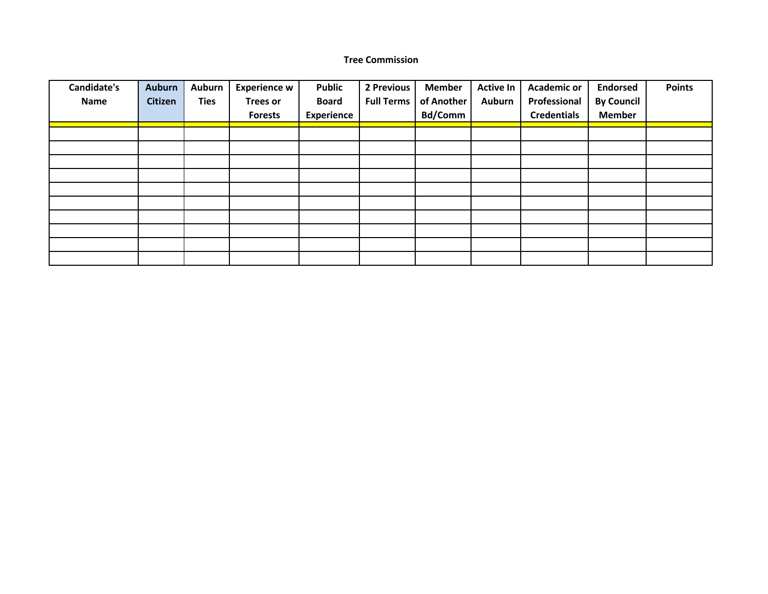### **Tree Commission**

| Candidate's | <b>Auburn</b> | Auburn      | <b>Experience w</b> | <b>Public</b>     | 2 Previous        | <b>Member</b>  | <b>Active In</b> | <b>Academic or</b> | <b>Endorsed</b>   | <b>Points</b> |
|-------------|---------------|-------------|---------------------|-------------------|-------------------|----------------|------------------|--------------------|-------------------|---------------|
| <b>Name</b> | Citizen       | <b>Ties</b> | <b>Trees or</b>     | <b>Board</b>      | <b>Full Terms</b> | of Another     | <b>Auburn</b>    | Professional       | <b>By Council</b> |               |
|             |               |             | <b>Forests</b>      | <b>Experience</b> |                   | <b>Bd/Comm</b> |                  | <b>Credentials</b> | <b>Member</b>     |               |
|             |               |             |                     |                   |                   |                |                  |                    |                   |               |
|             |               |             |                     |                   |                   |                |                  |                    |                   |               |
|             |               |             |                     |                   |                   |                |                  |                    |                   |               |
|             |               |             |                     |                   |                   |                |                  |                    |                   |               |
|             |               |             |                     |                   |                   |                |                  |                    |                   |               |
|             |               |             |                     |                   |                   |                |                  |                    |                   |               |
|             |               |             |                     |                   |                   |                |                  |                    |                   |               |
|             |               |             |                     |                   |                   |                |                  |                    |                   |               |
|             |               |             |                     |                   |                   |                |                  |                    |                   |               |
|             |               |             |                     |                   |                   |                |                  |                    |                   |               |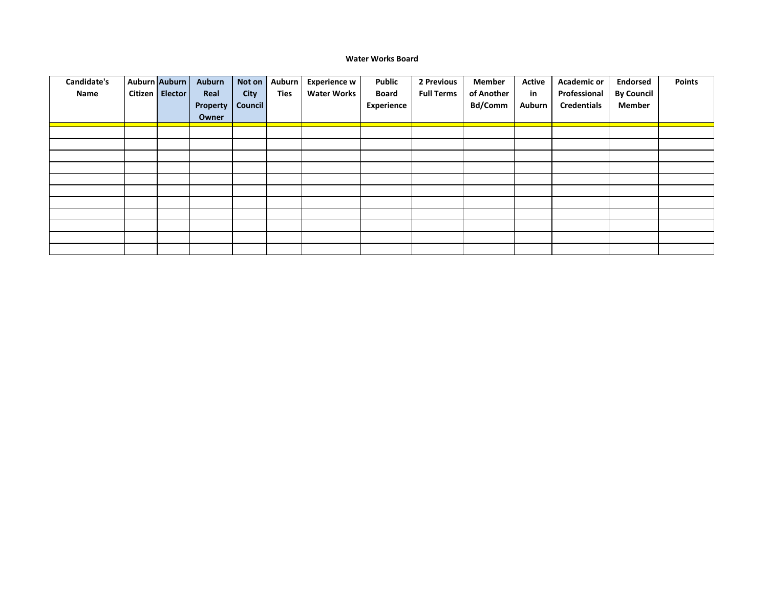#### **Water Works Board**

| Candidate's<br>Name | Auburn Auburn<br>Citizen Elector | Auburn<br>Real<br>Property<br>Owner | Not on<br><b>City</b><br><b>Council</b> | Auburn<br><b>Ties</b> | <b>Experience w</b><br><b>Water Works</b> | Public<br><b>Board</b><br><b>Experience</b> | 2 Previous<br><b>Full Terms</b> | Member<br>of Another<br><b>Bd/Comm</b> | Active<br>in<br>Auburn | <b>Academic or</b><br>Professional<br><b>Credentials</b> | <b>Endorsed</b><br><b>By Council</b><br><b>Member</b> | <b>Points</b> |
|---------------------|----------------------------------|-------------------------------------|-----------------------------------------|-----------------------|-------------------------------------------|---------------------------------------------|---------------------------------|----------------------------------------|------------------------|----------------------------------------------------------|-------------------------------------------------------|---------------|
|                     |                                  |                                     |                                         |                       |                                           |                                             |                                 |                                        |                        |                                                          |                                                       |               |
|                     |                                  |                                     |                                         |                       |                                           |                                             |                                 |                                        |                        |                                                          |                                                       |               |
|                     |                                  |                                     |                                         |                       |                                           |                                             |                                 |                                        |                        |                                                          |                                                       |               |
|                     |                                  |                                     |                                         |                       |                                           |                                             |                                 |                                        |                        |                                                          |                                                       |               |
|                     |                                  |                                     |                                         |                       |                                           |                                             |                                 |                                        |                        |                                                          |                                                       |               |
|                     |                                  |                                     |                                         |                       |                                           |                                             |                                 |                                        |                        |                                                          |                                                       |               |
|                     |                                  |                                     |                                         |                       |                                           |                                             |                                 |                                        |                        |                                                          |                                                       |               |
|                     |                                  |                                     |                                         |                       |                                           |                                             |                                 |                                        |                        |                                                          |                                                       |               |
|                     |                                  |                                     |                                         |                       |                                           |                                             |                                 |                                        |                        |                                                          |                                                       |               |
|                     |                                  |                                     |                                         |                       |                                           |                                             |                                 |                                        |                        |                                                          |                                                       |               |
|                     |                                  |                                     |                                         |                       |                                           |                                             |                                 |                                        |                        |                                                          |                                                       |               |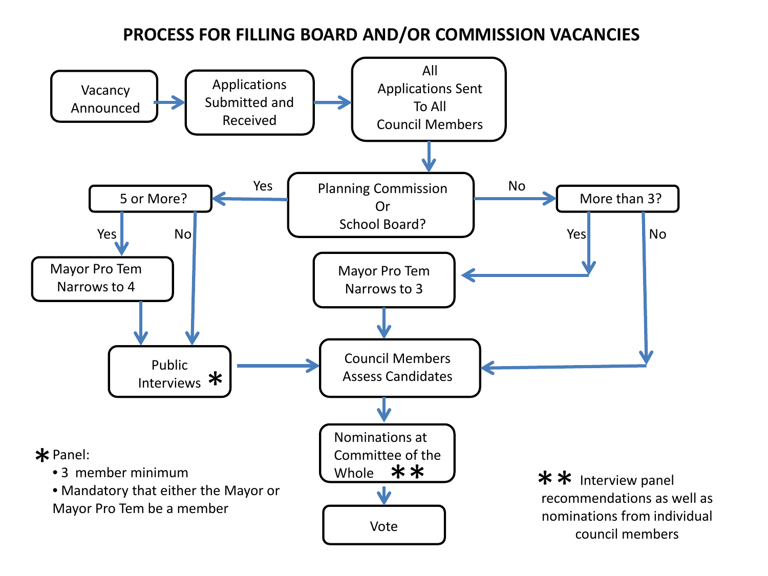# **PROCESS FOR FILLING BOARD AND/OR COMMISSION VACANCIES**

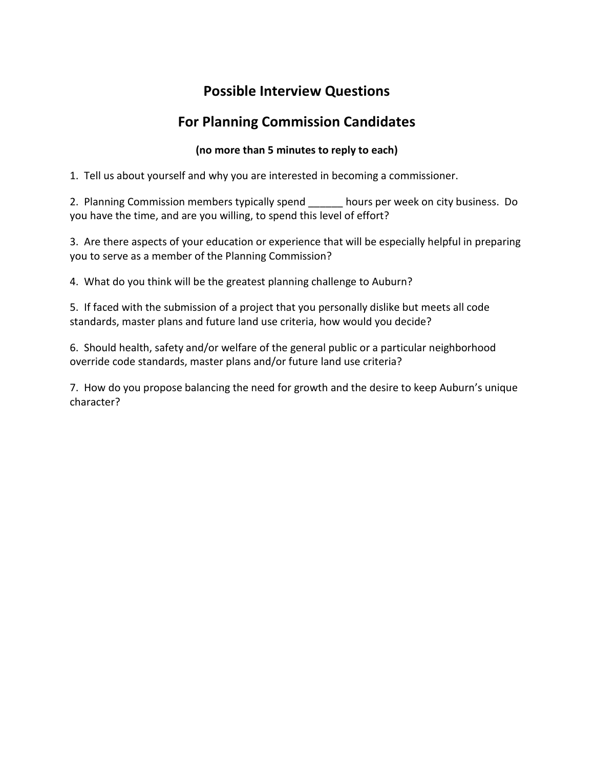# **Possible Interview Questions**

# **For Planning Commission Candidates**

# **(no more than 5 minutes to reply to each)**

1. Tell us about yourself and why you are interested in becoming a commissioner.

2. Planning Commission members typically spend hours per week on city business. Do you have the time, and are you willing, to spend this level of effort?

3. Are there aspects of your education or experience that will be especially helpful in preparing you to serve as a member of the Planning Commission?

4. What do you think will be the greatest planning challenge to Auburn?

5. If faced with the submission of a project that you personally dislike but meets all code standards, master plans and future land use criteria, how would you decide?

6. Should health, safety and/or welfare of the general public or a particular neighborhood override code standards, master plans and/or future land use criteria?

7. How do you propose balancing the need for growth and the desire to keep Auburn's unique character?